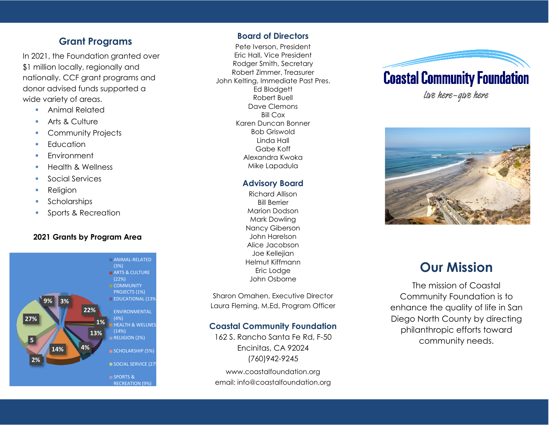### **Grant Programs**

In 2021, the Foundation granted over \$1 million locally, regionally and nationally. CCF grant programs and donor advised funds supported a wide variety of areas.

- Animal Related
- Arts & Culture
- Community Projects
- **Education**
- **Environment**
- Health & Wellness
- Social Services
- Religion
- **Scholarships**
- Sports & Recreation

#### **2021 Grants by Program Area**



#### **Board of Directors**

Pete Iverson, President Eric Hall, Vice President Rodger Smith, Secretary Robert Zimmer, Treasurer John Kelting, Immediate Past Pres. Ed Blodgett Robert Buell Dave Clemons Bill Cox Karen Duncan Bonner Bob Griswold Linda Hall Gabe Koff Alexandra Kwoka Mike Lapadula

### **Advisory Board**

Richard Allison Bill Berrier Marion Dodson Mark Dowling Nancy Giberson John Harelson Alice Jacobson Joe Kellejian Helmut Kiffmann Eric Lodge John Osborne

Sharon Omahen, Executive Director Laura Fleming, M.Ed, Program Officer

### **Coastal Community Foundation**

162 S. Rancho Santa Fe Rd, F-50 Encinitas, CA 92024 (760)942-9245 www.coastalfoundation.org email: info@coastalfoundation.org





# **Our Mission**

The mission of Coastal Community Foundation is to enhance the quality of life in San Diego North County by directing philanthropic efforts toward community needs.